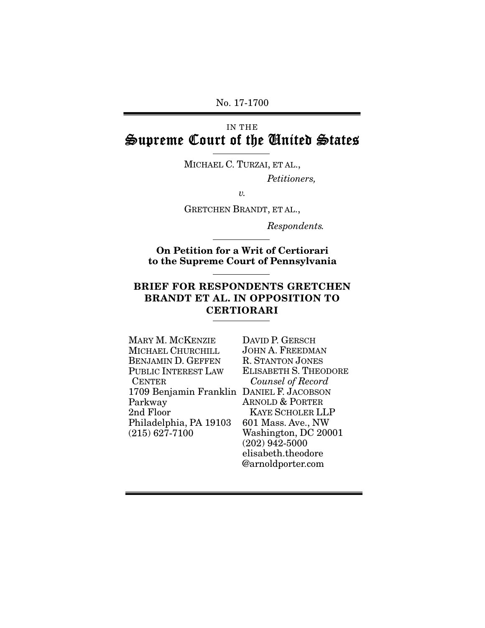No. 17-1700

# IN THE Supreme Court of the United States

MICHAEL C. TURZAI, ET AL.,

*Petitioners,* 

*v.* 

GRETCHEN BRANDT, ET AL.,

*Respondents.* 

On Petition for a Writ of Certiorari to the Supreme Court of Pennsylvania

## BRIEF FOR RESPONDENTS GRETCHEN BRANDT ET AL. IN OPPOSITION TO CERTIORARI

| Mary M. McKenzie           |
|----------------------------|
| MICHAEL CHURCHILL          |
| <b>BENJAMIN D. GEFFEN</b>  |
| <b>PUBLIC INTEREST LAW</b> |
| <b>CENTER</b>              |
| 1709 Benjamin Franklin     |
| Parkway                    |
| 2nd Floor                  |
| Philadelphia, PA 19103     |
| $(215) 627 - 7100$         |
|                            |

DAVID P. GERSCH JOHN A. FREEDMAN R. STANTON JONES ELISABETH S. THEODORE  *Counsel of Record* DANIEL F. JACOBSON ARNOLD & PORTER KAYE SCHOLER LLP 601 Mass. Ave., NW Washington, DC 20001 (202) 942-5000 elisabeth.theodore @arnoldporter.com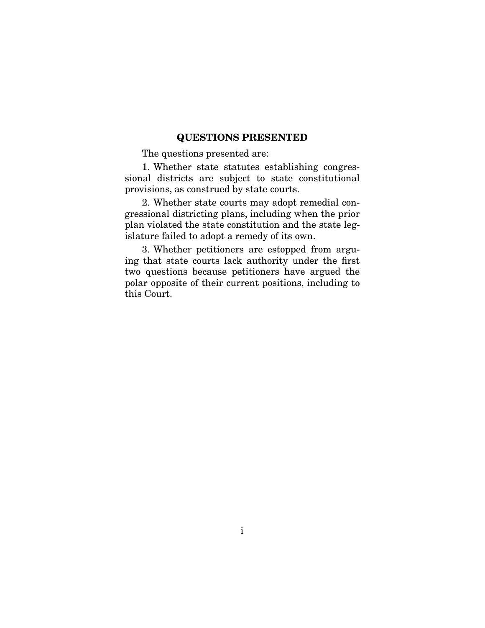### QUESTIONS PRESENTED

The questions presented are:

1. Whether state statutes establishing congressional districts are subject to state constitutional provisions, as construed by state courts.

2. Whether state courts may adopt remedial congressional districting plans, including when the prior plan violated the state constitution and the state legislature failed to adopt a remedy of its own.

3. Whether petitioners are estopped from arguing that state courts lack authority under the first two questions because petitioners have argued the polar opposite of their current positions, including to this Court.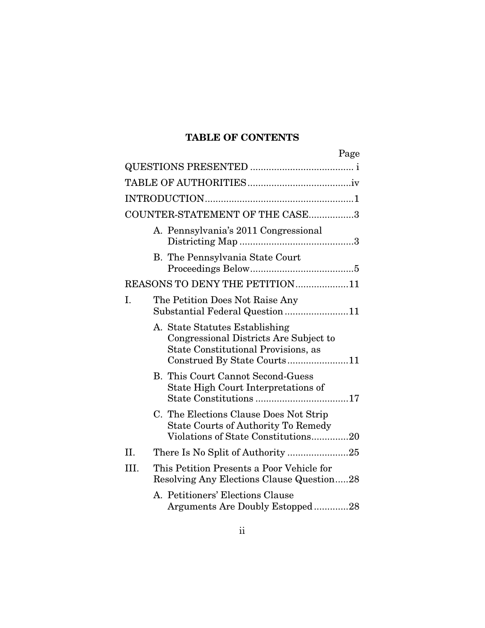# TABLE OF CONTENTS

|      | Page                                                                                                                                           |
|------|------------------------------------------------------------------------------------------------------------------------------------------------|
|      |                                                                                                                                                |
|      |                                                                                                                                                |
|      |                                                                                                                                                |
|      | COUNTER-STATEMENT OF THE CASE3                                                                                                                 |
|      | A. Pennsylvania's 2011 Congressional                                                                                                           |
|      | B. The Pennsylvania State Court                                                                                                                |
|      | REASONS TO DENY THE PETITION11                                                                                                                 |
| Ι.   | The Petition Does Not Raise Any<br>Substantial Federal Question11                                                                              |
|      | A. State Statutes Establishing<br>Congressional Districts Are Subject to<br>State Constitutional Provisions, as<br>Construed By State Courts11 |
|      | <b>B.</b> This Court Cannot Second-Guess<br>State High Court Interpretations of                                                                |
|      | C. The Elections Clause Does Not Strip<br><b>State Courts of Authority To Remedy</b><br>Violations of State Constitutions20                    |
| II.  |                                                                                                                                                |
| III. | This Petition Presents a Poor Vehicle for<br>Resolving Any Elections Clause Question28                                                         |
|      | A. Petitioners' Elections Clause<br>Arguments Are Doubly Estopped28                                                                            |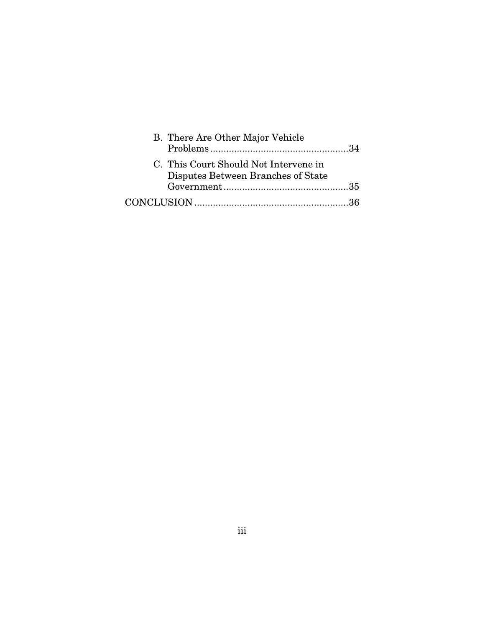| B. There Are Other Major Vehicle                                            |  |
|-----------------------------------------------------------------------------|--|
| C. This Court Should Not Intervene in<br>Disputes Between Branches of State |  |
|                                                                             |  |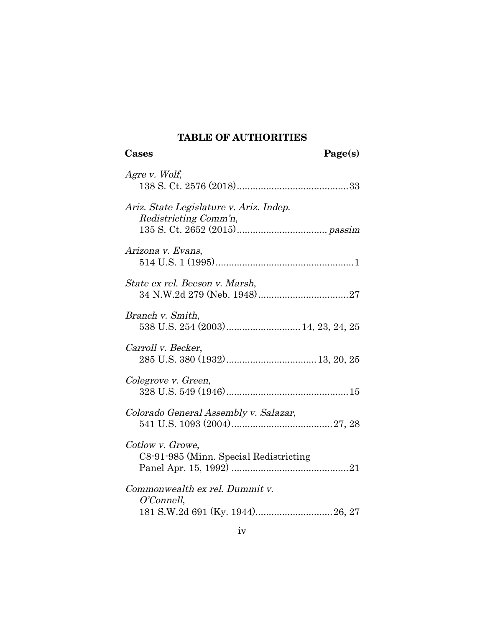# TABLE OF AUTHORITIES

| Cases                                                            | Page(s) |
|------------------------------------------------------------------|---------|
| Agre v. Wolf,                                                    |         |
| Ariz. State Legislature v. Ariz. Indep.<br>Redistricting Comm'n, |         |
| Arizona v. Evans,                                                |         |
| State ex rel. Beeson v. Marsh,                                   |         |
| Branch v. Smith,<br>538 U.S. 254 (2003) 14, 23, 24, 25           |         |
| Carroll v. Becker,                                               |         |
| Colegrove v. Green,                                              |         |
| Colorado General Assembly v. Salazar,                            |         |
| Cotlow v. Growe,<br>C8-91-985 (Minn. Special Redistricting       |         |
| Commonwealth ex rel. Dummit v.<br>O'Connell,                     |         |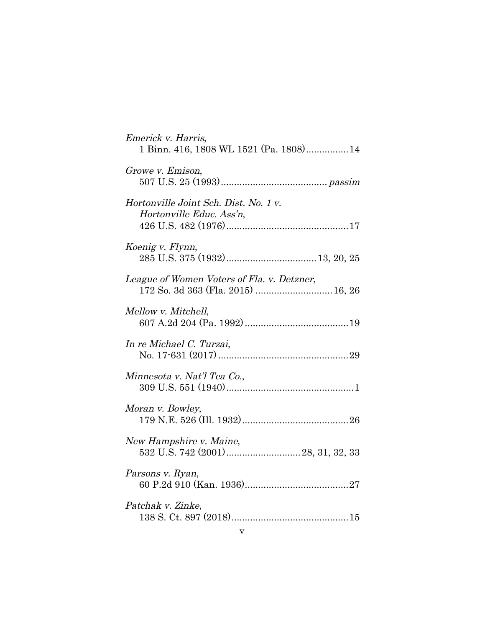| Emerick v. Harris,<br>1 Binn. 416, 1808 WL 1521 (Pa. 1808)14      |
|-------------------------------------------------------------------|
| Growe v. Emison,                                                  |
| Hortonville Joint Sch. Dist. No. 1 v.<br>Hortonville Educ. Ass'n, |
| Koenig v. Flynn,                                                  |
| League of Women Voters of Fla. v. Detzner,                        |
| Mellow v. Mitchell,                                               |
| In re Michael C. Turzai,                                          |
| Minnesota v. Nat'l Tea Co.,                                       |
| Moran v. Bowley,                                                  |
| New Hampshire v. Maine,                                           |
| Parsons v. Ryan,                                                  |
| Patchak v. Zinke,                                                 |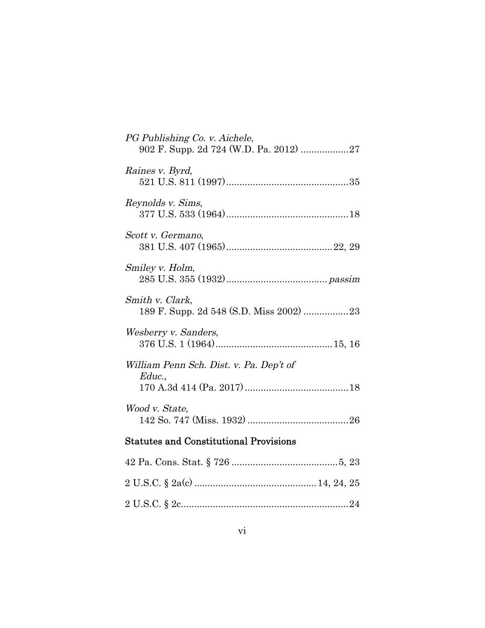| PG Publishing Co. v. Aichele,                              |  |
|------------------------------------------------------------|--|
| Raines v. Byrd,                                            |  |
| Reynolds v. Sims,                                          |  |
| Scott v. Germano,                                          |  |
| Smiley v. Holm,                                            |  |
| Smith v. Clark,<br>189 F. Supp. 2d 548 (S.D. Miss 2002) 23 |  |
| Wesberry v. Sanders,                                       |  |
| William Penn Sch. Dist. v. Pa. Dep't of                    |  |
| Educ.,                                                     |  |
| Wood v. State,                                             |  |
| <b>Statutes and Constitutional Provisions</b>              |  |
|                                                            |  |
|                                                            |  |

2 U.S.C. § 2c ............................................................... 24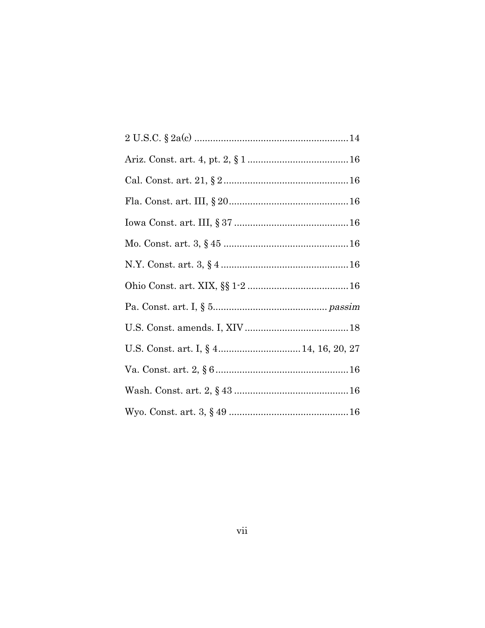| U.S. Const. art. I, § 4 14, 16, 20, 27 |  |
|----------------------------------------|--|
|                                        |  |
|                                        |  |
|                                        |  |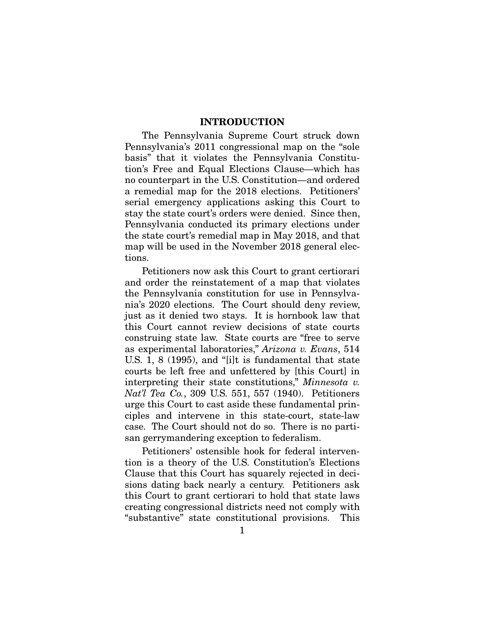#### INTRODUCTION

The Pennsylvania Supreme Court struck down Pennsylvania's 2011 congressional map on the "sole basis" that it violates the Pennsylvania Constitution's Free and Equal Elections Clause—which has no counterpart in the U.S. Constitution—and ordered a remedial map for the 2018 elections. Petitioners' serial emergency applications asking this Court to stay the state court's orders were denied. Since then, Pennsylvania conducted its primary elections under the state court's remedial map in May 2018, and that map will be used in the November 2018 general elections.

Petitioners now ask this Court to grant certiorari and order the reinstatement of a map that violates the Pennsylvania constitution for use in Pennsylvania's 2020 elections. The Court should deny review, just as it denied two stays. It is hornbook law that this Court cannot review decisions of state courts construing state law. State courts are "free to serve as experimental laboratories," *Arizona v. Evans*, 514 U.S. 1, 8 (1995), and "[i]t is fundamental that state courts be left free and unfettered by [this Court] in interpreting their state constitutions," *Minnesota v. Nat'l Tea Co.*, 309 U.S. 551, 557 (1940). Petitioners urge this Court to cast aside these fundamental principles and intervene in this state-court, state-law case. The Court should not do so. There is no partisan gerrymandering exception to federalism.

Petitioners' ostensible hook for federal intervention is a theory of the U.S. Constitution's Elections Clause that this Court has squarely rejected in decisions dating back nearly a century. Petitioners ask this Court to grant certiorari to hold that state laws creating congressional districts need not comply with "substantive" state constitutional provisions. This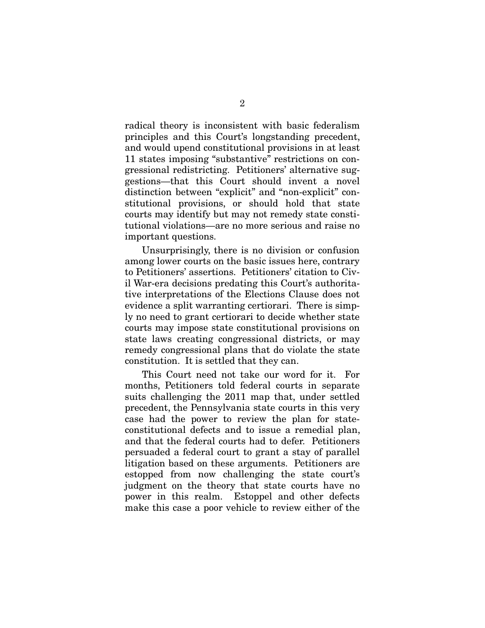radical theory is inconsistent with basic federalism principles and this Court's longstanding precedent, and would upend constitutional provisions in at least 11 states imposing "substantive" restrictions on congressional redistricting. Petitioners' alternative suggestions—that this Court should invent a novel distinction between "explicit" and "non-explicit" constitutional provisions, or should hold that state courts may identify but may not remedy state constitutional violations—are no more serious and raise no important questions.

Unsurprisingly, there is no division or confusion among lower courts on the basic issues here, contrary to Petitioners' assertions. Petitioners' citation to Civil War-era decisions predating this Court's authoritative interpretations of the Elections Clause does not evidence a split warranting certiorari. There is simply no need to grant certiorari to decide whether state courts may impose state constitutional provisions on state laws creating congressional districts, or may remedy congressional plans that do violate the state constitution. It is settled that they can.

This Court need not take our word for it. For months, Petitioners told federal courts in separate suits challenging the 2011 map that, under settled precedent, the Pennsylvania state courts in this very case had the power to review the plan for stateconstitutional defects and to issue a remedial plan, and that the federal courts had to defer. Petitioners persuaded a federal court to grant a stay of parallel litigation based on these arguments. Petitioners are estopped from now challenging the state court's judgment on the theory that state courts have no power in this realm. Estoppel and other defects make this case a poor vehicle to review either of the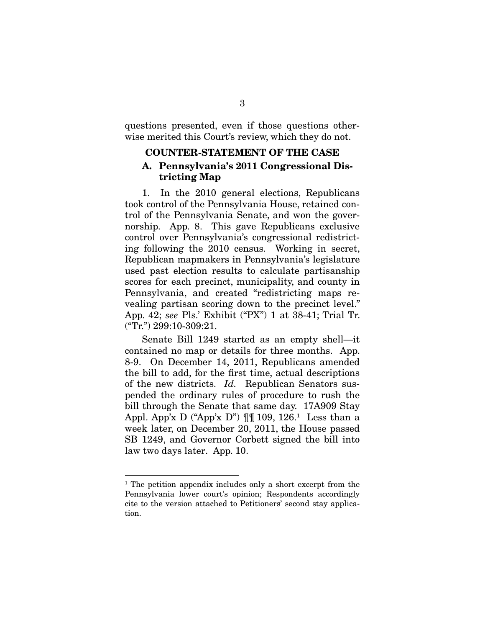questions presented, even if those questions otherwise merited this Court's review, which they do not.

## COUNTER-STATEMENT OF THE CASE A. Pennsylvania's 2011 Congressional Districting Map

1. In the 2010 general elections, Republicans took control of the Pennsylvania House, retained control of the Pennsylvania Senate, and won the governorship. App. 8. This gave Republicans exclusive control over Pennsylvania's congressional redistricting following the 2010 census. Working in secret, Republican mapmakers in Pennsylvania's legislature used past election results to calculate partisanship scores for each precinct, municipality, and county in Pennsylvania, and created "redistricting maps revealing partisan scoring down to the precinct level." App. 42; *see* Pls.' Exhibit ("PX") 1 at 38-41; Trial Tr. ("Tr.") 299:10-309:21.

Senate Bill 1249 started as an empty shell—it contained no map or details for three months. App. 8-9. On December 14, 2011, Republicans amended the bill to add, for the first time, actual descriptions of the new districts. *Id.* Republican Senators suspended the ordinary rules of procedure to rush the bill through the Senate that same day. 17A909 Stay Appl. App'x D ("App'x D") ¶¶ 109, 126.<sup>1</sup> Less than a week later, on December 20, 2011, the House passed SB 1249, and Governor Corbett signed the bill into law two days later. App. 10.

<sup>&</sup>lt;sup>1</sup> The petition appendix includes only a short excerpt from the Pennsylvania lower court's opinion; Respondents accordingly cite to the version attached to Petitioners' second stay application.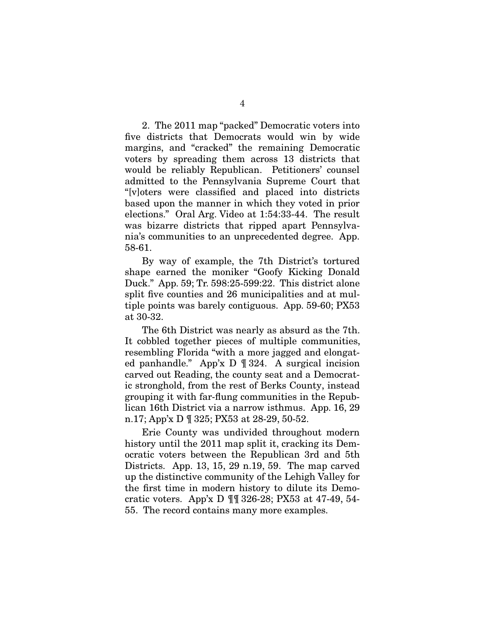2. The 2011 map "packed" Democratic voters into five districts that Democrats would win by wide margins, and "cracked" the remaining Democratic voters by spreading them across 13 districts that would be reliably Republican. Petitioners' counsel admitted to the Pennsylvania Supreme Court that "[v]oters were classified and placed into districts" based upon the manner in which they voted in prior elections." Oral Arg. Video at 1:54:33-44. The result was bizarre districts that ripped apart Pennsylvania's communities to an unprecedented degree. App. 58-61.

By way of example, the 7th District's tortured shape earned the moniker "Goofy Kicking Donald Duck." App. 59; Tr. 598:25-599:22. This district alone split five counties and 26 municipalities and at multiple points was barely contiguous. App. 59-60; PX53 at 30-32.

The 6th District was nearly as absurd as the 7th. It cobbled together pieces of multiple communities, resembling Florida "with a more jagged and elongated panhandle." App'x D ¶ 324. A surgical incision carved out Reading, the county seat and a Democratic stronghold, from the rest of Berks County, instead grouping it with far-flung communities in the Republican 16th District via a narrow isthmus. App. 16, 29 n.17; App'x D ¶ 325; PX53 at 28-29, 50-52.

Erie County was undivided throughout modern history until the 2011 map split it, cracking its Democratic voters between the Republican 3rd and 5th Districts. App. 13, 15, 29 n.19, 59. The map carved up the distinctive community of the Lehigh Valley for the first time in modern history to dilute its Democratic voters. App'x D ¶¶ 326-28; PX53 at 47-49, 54- 55. The record contains many more examples.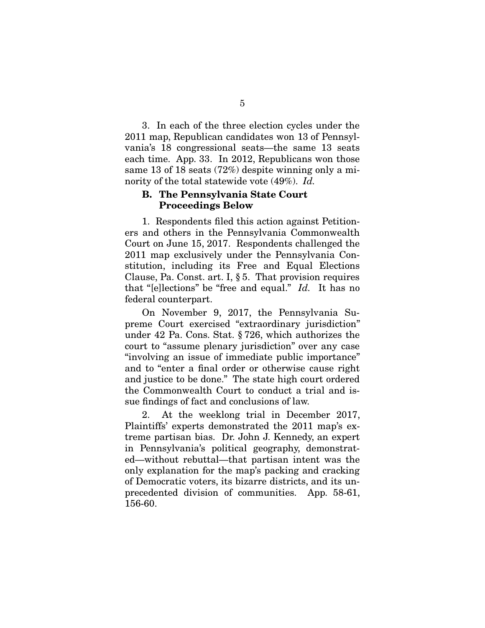3. In each of the three election cycles under the 2011 map, Republican candidates won 13 of Pennsylvania's 18 congressional seats—the same 13 seats each time. App. 33. In 2012, Republicans won those same 13 of 18 seats (72%) despite winning only a minority of the total statewide vote (49%). *Id.*

#### B. The Pennsylvania State Court Proceedings Below

1. Respondents filed this action against Petitioners and others in the Pennsylvania Commonwealth Court on June 15, 2017. Respondents challenged the 2011 map exclusively under the Pennsylvania Constitution, including its Free and Equal Elections Clause, Pa. Const. art. I, § 5. That provision requires that "[e]lections" be "free and equal." *Id.* It has no federal counterpart.

On November 9, 2017, the Pennsylvania Supreme Court exercised "extraordinary jurisdiction" under 42 Pa. Cons. Stat. § 726, which authorizes the court to "assume plenary jurisdiction" over any case "involving an issue of immediate public importance" and to "enter a final order or otherwise cause right and justice to be done." The state high court ordered the Commonwealth Court to conduct a trial and issue findings of fact and conclusions of law.

2. At the weeklong trial in December 2017, Plaintiffs' experts demonstrated the 2011 map's extreme partisan bias. Dr. John J. Kennedy, an expert in Pennsylvania's political geography, demonstrated—without rebuttal—that partisan intent was the only explanation for the map's packing and cracking of Democratic voters, its bizarre districts, and its unprecedented division of communities. App. 58-61, 156-60.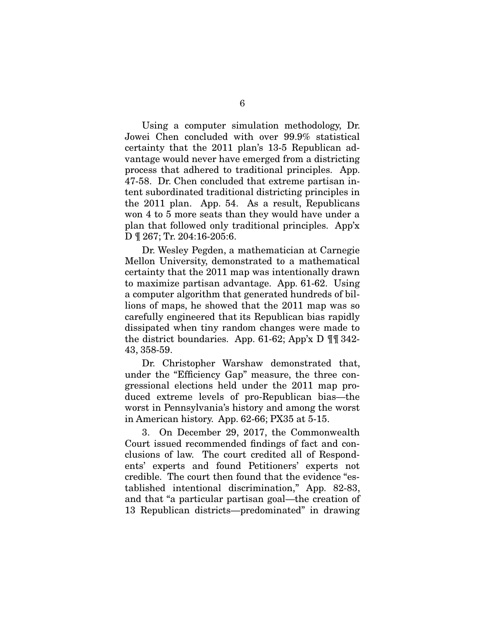Using a computer simulation methodology, Dr. Jowei Chen concluded with over 99.9% statistical certainty that the 2011 plan's 13-5 Republican advantage would never have emerged from a districting process that adhered to traditional principles. App. 47-58. Dr. Chen concluded that extreme partisan intent subordinated traditional districting principles in the 2011 plan. App. 54. As a result, Republicans won 4 to 5 more seats than they would have under a plan that followed only traditional principles. App'x D ¶ 267; Tr. 204:16-205:6.

Dr. Wesley Pegden, a mathematician at Carnegie Mellon University, demonstrated to a mathematical certainty that the 2011 map was intentionally drawn to maximize partisan advantage. App. 61-62. Using a computer algorithm that generated hundreds of billions of maps, he showed that the 2011 map was so carefully engineered that its Republican bias rapidly dissipated when tiny random changes were made to the district boundaries. App. 61-62; App'x D ¶¶ 342- 43, 358-59.

Dr. Christopher Warshaw demonstrated that, under the "Efficiency Gap" measure, the three congressional elections held under the 2011 map produced extreme levels of pro-Republican bias—the worst in Pennsylvania's history and among the worst in American history. App. 62-66; PX35 at 5-15.

3. On December 29, 2017, the Commonwealth Court issued recommended findings of fact and conclusions of law. The court credited all of Respondents' experts and found Petitioners' experts not credible. The court then found that the evidence "established intentional discrimination," App. 82-83, and that "a particular partisan goal—the creation of 13 Republican districts—predominated" in drawing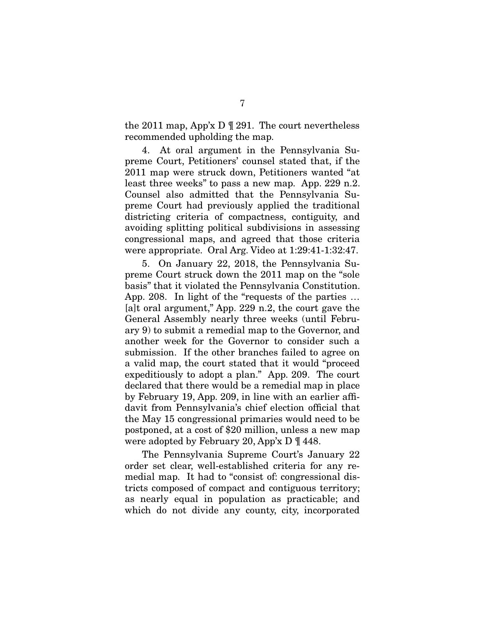the 2011 map, App'x D ¶ 291. The court nevertheless recommended upholding the map.

4. At oral argument in the Pennsylvania Supreme Court, Petitioners' counsel stated that, if the 2011 map were struck down, Petitioners wanted "at least three weeks" to pass a new map. App. 229 n.2. Counsel also admitted that the Pennsylvania Supreme Court had previously applied the traditional districting criteria of compactness, contiguity, and avoiding splitting political subdivisions in assessing congressional maps, and agreed that those criteria were appropriate. Oral Arg. Video at 1:29:41-1:32:47.

5. On January 22, 2018, the Pennsylvania Supreme Court struck down the 2011 map on the "sole basis" that it violated the Pennsylvania Constitution. App. 208. In light of the "requests of the parties … [a]t oral argument," App. 229 n.2, the court gave the General Assembly nearly three weeks (until February 9) to submit a remedial map to the Governor, and another week for the Governor to consider such a submission. If the other branches failed to agree on a valid map, the court stated that it would "proceed expeditiously to adopt a plan." App. 209. The court declared that there would be a remedial map in place by February 19, App. 209, in line with an earlier affidavit from Pennsylvania's chief election official that the May 15 congressional primaries would need to be postponed, at a cost of \$20 million, unless a new map were adopted by February 20, App'x D ¶ 448.

The Pennsylvania Supreme Court's January 22 order set clear, well-established criteria for any remedial map. It had to "consist of: congressional districts composed of compact and contiguous territory; as nearly equal in population as practicable; and which do not divide any county, city, incorporated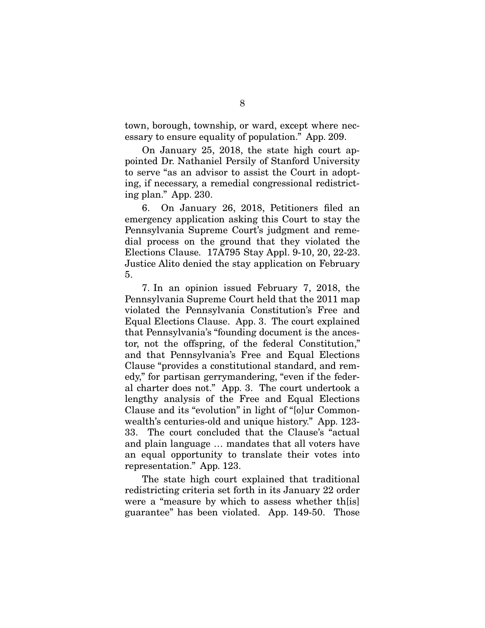town, borough, township, or ward, except where necessary to ensure equality of population." App. 209.

On January 25, 2018, the state high court appointed Dr. Nathaniel Persily of Stanford University to serve "as an advisor to assist the Court in adopting, if necessary, a remedial congressional redistricting plan." App. 230.

6. On January 26, 2018, Petitioners filed an emergency application asking this Court to stay the Pennsylvania Supreme Court's judgment and remedial process on the ground that they violated the Elections Clause. 17A795 Stay Appl. 9-10, 20, 22-23. Justice Alito denied the stay application on February 5.

7. In an opinion issued February 7, 2018, the Pennsylvania Supreme Court held that the 2011 map violated the Pennsylvania Constitution's Free and Equal Elections Clause. App. 3. The court explained that Pennsylvania's "founding document is the ancestor, not the offspring, of the federal Constitution," and that Pennsylvania's Free and Equal Elections Clause "provides a constitutional standard, and remedy," for partisan gerrymandering, "even if the federal charter does not." App. 3. The court undertook a lengthy analysis of the Free and Equal Elections Clause and its "evolution" in light of "[o]ur Commonwealth's centuries-old and unique history." App. 123- 33. The court concluded that the Clause's "actual and plain language … mandates that all voters have an equal opportunity to translate their votes into representation." App. 123.

The state high court explained that traditional redistricting criteria set forth in its January 22 order were a "measure by which to assess whether th[is] guarantee" has been violated. App. 149-50. Those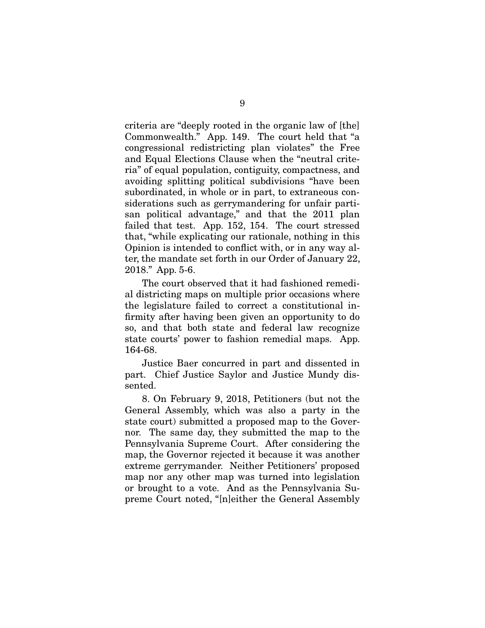criteria are "deeply rooted in the organic law of [the] Commonwealth." App. 149. The court held that "a congressional redistricting plan violates" the Free and Equal Elections Clause when the "neutral criteria" of equal population, contiguity, compactness, and avoiding splitting political subdivisions "have been subordinated, in whole or in part, to extraneous considerations such as gerrymandering for unfair partisan political advantage," and that the 2011 plan failed that test. App. 152, 154. The court stressed that, "while explicating our rationale, nothing in this Opinion is intended to conflict with, or in any way alter, the mandate set forth in our Order of January 22, 2018." App. 5-6.

The court observed that it had fashioned remedial districting maps on multiple prior occasions where the legislature failed to correct a constitutional infirmity after having been given an opportunity to do so, and that both state and federal law recognize state courts' power to fashion remedial maps. App. 164-68.

Justice Baer concurred in part and dissented in part. Chief Justice Saylor and Justice Mundy dissented.

8. On February 9, 2018, Petitioners (but not the General Assembly, which was also a party in the state court) submitted a proposed map to the Governor. The same day, they submitted the map to the Pennsylvania Supreme Court. After considering the map, the Governor rejected it because it was another extreme gerrymander. Neither Petitioners' proposed map nor any other map was turned into legislation or brought to a vote. And as the Pennsylvania Supreme Court noted, "[n]either the General Assembly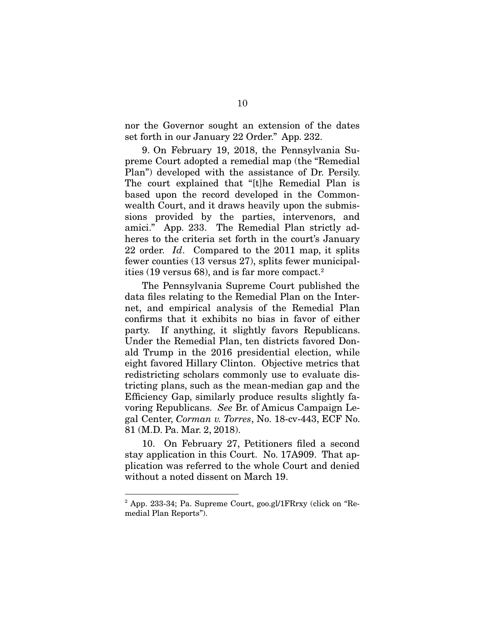nor the Governor sought an extension of the dates set forth in our January 22 Order." App. 232.

9. On February 19, 2018, the Pennsylvania Supreme Court adopted a remedial map (the "Remedial Plan") developed with the assistance of Dr. Persily. The court explained that "[t]he Remedial Plan is based upon the record developed in the Commonwealth Court, and it draws heavily upon the submissions provided by the parties, intervenors, and amici." App. 233. The Remedial Plan strictly adheres to the criteria set forth in the court's January 22 order. *Id*. Compared to the 2011 map, it splits fewer counties (13 versus 27), splits fewer municipalities (19 versus 68), and is far more compact.<sup>2</sup>

The Pennsylvania Supreme Court published the data files relating to the Remedial Plan on the Internet, and empirical analysis of the Remedial Plan confirms that it exhibits no bias in favor of either party. If anything, it slightly favors Republicans. Under the Remedial Plan, ten districts favored Donald Trump in the 2016 presidential election, while eight favored Hillary Clinton. Objective metrics that redistricting scholars commonly use to evaluate districting plans, such as the mean-median gap and the Efficiency Gap, similarly produce results slightly favoring Republicans. *See* Br. of Amicus Campaign Legal Center, *Corman v. Torres*, No. 18-cv-443, ECF No. 81 (M.D. Pa. Mar. 2, 2018).

10. On February 27, Petitioners filed a second stay application in this Court. No. 17A909. That application was referred to the whole Court and denied without a noted dissent on March 19.

<sup>&</sup>lt;sup>2</sup> App. 233-34; Pa. Supreme Court, goo.gl/1FRrxy (click on "Remedial Plan Reports").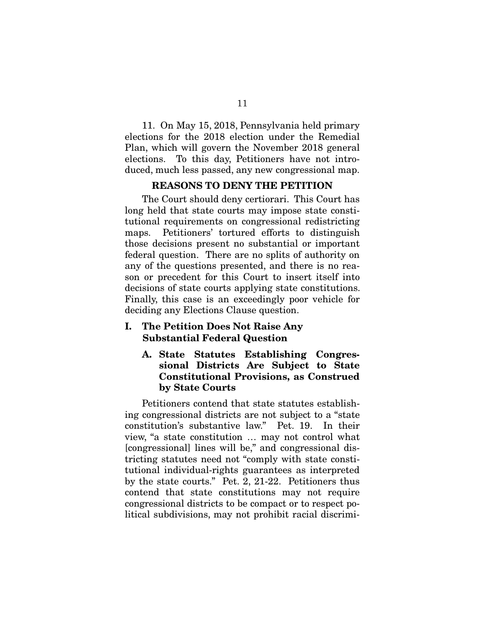11. On May 15, 2018, Pennsylvania held primary elections for the 2018 election under the Remedial Plan, which will govern the November 2018 general elections. To this day, Petitioners have not introduced, much less passed, any new congressional map.

#### REASONS TO DENY THE PETITION

The Court should deny certiorari. This Court has long held that state courts may impose state constitutional requirements on congressional redistricting maps. Petitioners' tortured efforts to distinguish those decisions present no substantial or important federal question. There are no splits of authority on any of the questions presented, and there is no reason or precedent for this Court to insert itself into decisions of state courts applying state constitutions. Finally, this case is an exceedingly poor vehicle for deciding any Elections Clause question.

#### I. The Petition Does Not Raise Any Substantial Federal Question

## A. State Statutes Establishing Congressional Districts Are Subject to State Constitutional Provisions, as Construed by State Courts

Petitioners contend that state statutes establishing congressional districts are not subject to a "state constitution's substantive law." Pet. 19. In their view, "a state constitution … may not control what [congressional] lines will be," and congressional districting statutes need not "comply with state constitutional individual-rights guarantees as interpreted by the state courts." Pet. 2, 21-22. Petitioners thus contend that state constitutions may not require congressional districts to be compact or to respect political subdivisions, may not prohibit racial discrimi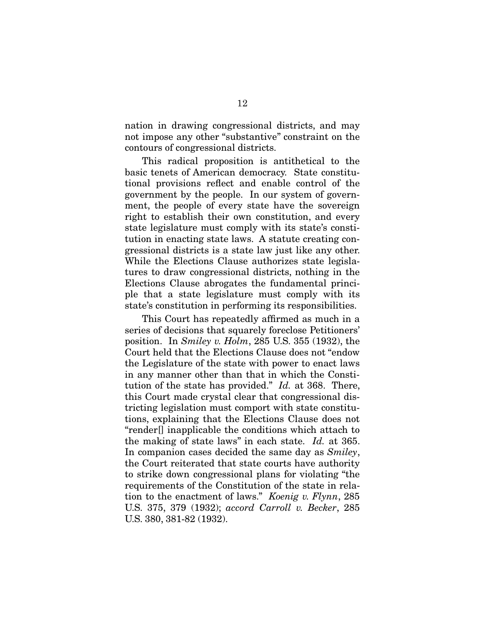nation in drawing congressional districts, and may not impose any other "substantive" constraint on the contours of congressional districts.

This radical proposition is antithetical to the basic tenets of American democracy. State constitutional provisions reflect and enable control of the government by the people. In our system of government, the people of every state have the sovereign right to establish their own constitution, and every state legislature must comply with its state's constitution in enacting state laws. A statute creating congressional districts is a state law just like any other. While the Elections Clause authorizes state legislatures to draw congressional districts, nothing in the Elections Clause abrogates the fundamental principle that a state legislature must comply with its state's constitution in performing its responsibilities.

This Court has repeatedly affirmed as much in a series of decisions that squarely foreclose Petitioners' position. In *Smiley v. Holm*, 285 U.S. 355 (1932), the Court held that the Elections Clause does not "endow the Legislature of the state with power to enact laws in any manner other than that in which the Constitution of the state has provided." *Id.* at 368. There, this Court made crystal clear that congressional districting legislation must comport with state constitutions, explaining that the Elections Clause does not "render[] inapplicable the conditions which attach to the making of state laws" in each state. *Id.* at 365. In companion cases decided the same day as *Smiley*, the Court reiterated that state courts have authority to strike down congressional plans for violating "the requirements of the Constitution of the state in relation to the enactment of laws." *Koenig v. Flynn*, 285 U.S. 375, 379 (1932); *accord Carroll v. Becker*, 285 U.S. 380, 381-82 (1932).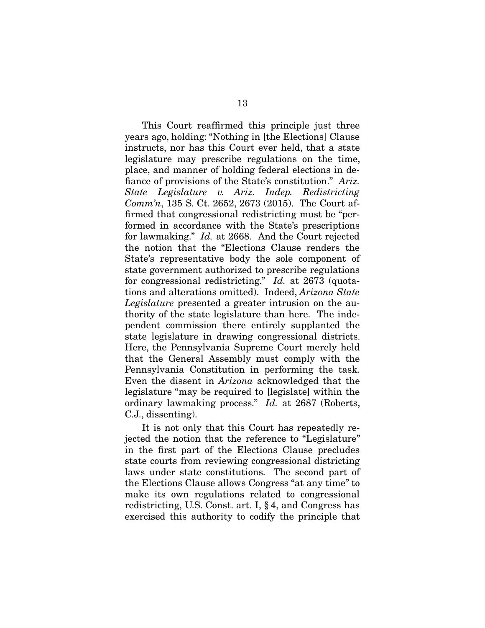This Court reaffirmed this principle just three years ago, holding: "Nothing in [the Elections] Clause instructs, nor has this Court ever held, that a state legislature may prescribe regulations on the time, place, and manner of holding federal elections in defiance of provisions of the State's constitution." Ariz. *State Legislature v. Ariz. Indep. Redistricting Comm'n*, 135 S. Ct. 2652, 2673 (2015). The Court affirmed that congressional redistricting must be "performed in accordance with the State's prescriptions for lawmaking." *Id.* at 2668. And the Court rejected the notion that the "Elections Clause renders the State's representative body the sole component of state government authorized to prescribe regulations for congressional redistricting." *Id.* at 2673 (quotations and alterations omitted). Indeed, *Arizona State Legislature* presented a greater intrusion on the authority of the state legislature than here. The independent commission there entirely supplanted the state legislature in drawing congressional districts. Here, the Pennsylvania Supreme Court merely held that the General Assembly must comply with the Pennsylvania Constitution in performing the task. Even the dissent in *Arizona* acknowledged that the legislature "may be required to [legislate] within the ordinary lawmaking process." *Id.* at 2687 (Roberts, C.J., dissenting).

It is not only that this Court has repeatedly rejected the notion that the reference to "Legislature" in the first part of the Elections Clause precludes state courts from reviewing congressional districting laws under state constitutions. The second part of the Elections Clause allows Congress "at any time" to make its own regulations related to congressional redistricting, U.S. Const. art. I, § 4, and Congress has exercised this authority to codify the principle that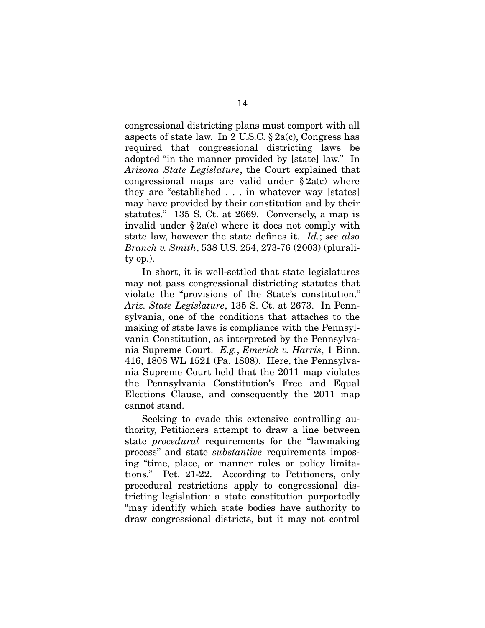congressional districting plans must comport with all aspects of state law. In 2 U.S.C.  $\S 2a(c)$ , Congress has required that congressional districting laws be adopted "in the manner provided by [state] law." In *Arizona State Legislature*, the Court explained that congressional maps are valid under  $\S 2a(c)$  where they are "established . . . in whatever way [states] may have provided by their constitution and by their statutes." 135 S. Ct. at 2669. Conversely, a map is invalid under  $\S 2a(c)$  where it does not comply with state law, however the state defines it. *Id.*; *see also Branch v. Smith*, 538 U.S. 254, 273-76 (2003) (plurality op.).

In short, it is well-settled that state legislatures may not pass congressional districting statutes that violate the "provisions of the State's constitution." *Ariz. State Legislature*, 135 S. Ct. at 2673. In Pennsylvania, one of the conditions that attaches to the making of state laws is compliance with the Pennsylvania Constitution, as interpreted by the Pennsylvania Supreme Court. *E.g.*, *Emerick v. Harris*, 1 Binn. 416, 1808 WL 1521 (Pa. 1808). Here, the Pennsylvania Supreme Court held that the 2011 map violates the Pennsylvania Constitution's Free and Equal Elections Clause, and consequently the 2011 map cannot stand.

Seeking to evade this extensive controlling authority, Petitioners attempt to draw a line between state *procedural* requirements for the "lawmaking process" and state *substantive* requirements imposing "time, place, or manner rules or policy limitations." Pet. 21-22. According to Petitioners, only procedural restrictions apply to congressional districting legislation: a state constitution purportedly "may identify which state bodies have authority to draw congressional districts, but it may not control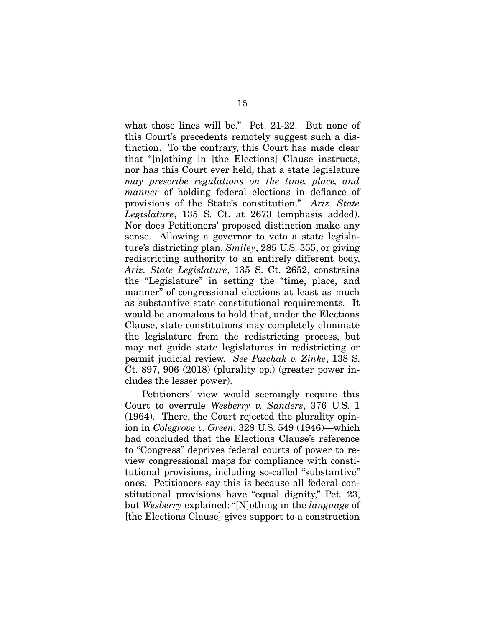what those lines will be." Pet. 21-22. But none of this Court's precedents remotely suggest such a distinction. To the contrary, this Court has made clear that "[n]othing in [the Elections] Clause instructs, nor has this Court ever held, that a state legislature *may prescribe regulations on the time, place, and manner* of holding federal elections in defiance of provisions of the State's constitution." *Ariz. State Legislature*, 135 S. Ct. at 2673 (emphasis added). Nor does Petitioners' proposed distinction make any sense. Allowing a governor to veto a state legislature's districting plan, *Smiley*, 285 U.S. 355, or giving redistricting authority to an entirely different body, *Ariz. State Legislature*, 135 S. Ct. 2652, constrains the "Legislature" in setting the "time, place, and manner" of congressional elections at least as much as substantive state constitutional requirements. It would be anomalous to hold that, under the Elections Clause, state constitutions may completely eliminate the legislature from the redistricting process, but may not guide state legislatures in redistricting or permit judicial review. *See Patchak v. Zinke*, 138 S. Ct. 897, 906 (2018) (plurality op.) (greater power includes the lesser power).

Petitioners' view would seemingly require this Court to overrule *Wesberry v. Sanders*, 376 U.S. 1 (1964). There, the Court rejected the plurality opinion in *Colegrove v. Green*, 328 U.S. 549 (1946)—which had concluded that the Elections Clause's reference to "Congress" deprives federal courts of power to review congressional maps for compliance with constitutional provisions, including so-called "substantive" ones. Petitioners say this is because all federal constitutional provisions have "equal dignity," Pet. 23, but *Wesberry* explained: "[N]othing in the *language* of [the Elections Clause] gives support to a construction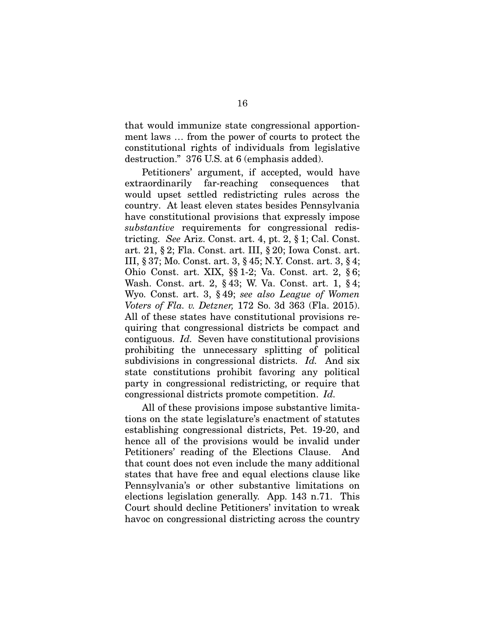that would immunize state congressional apportionment laws … from the power of courts to protect the constitutional rights of individuals from legislative destruction." 376 U.S. at 6 (emphasis added).

Petitioners' argument, if accepted, would have extraordinarily far-reaching consequences that would upset settled redistricting rules across the country. At least eleven states besides Pennsylvania have constitutional provisions that expressly impose *substantive* requirements for congressional redistricting. *See* Ariz. Const. art. 4, pt. 2, § 1; Cal. Const. art. 21, § 2; Fla. Const. art. III, § 20; Iowa Const. art. III, § 37; Mo. Const. art. 3, § 45; N.Y. Const. art. 3, § 4; Ohio Const. art. XIX, §§ 1-2; Va. Const. art. 2, § 6; Wash. Const. art. 2, § 43; W. Va. Const. art. 1, § 4; Wyo. Const. art. 3, § 49; *see also League of Women Voters of Fla. v. Detzner,* 172 So. 3d 363 (Fla. 2015). All of these states have constitutional provisions requiring that congressional districts be compact and contiguous. *Id.* Seven have constitutional provisions prohibiting the unnecessary splitting of political subdivisions in congressional districts. *Id.* And six state constitutions prohibit favoring any political party in congressional redistricting, or require that congressional districts promote competition. *Id.*

All of these provisions impose substantive limitations on the state legislature's enactment of statutes establishing congressional districts, Pet. 19-20, and hence all of the provisions would be invalid under Petitioners' reading of the Elections Clause. And that count does not even include the many additional states that have free and equal elections clause like Pennsylvania's or other substantive limitations on elections legislation generally. App. 143 n.71. This Court should decline Petitioners' invitation to wreak havoc on congressional districting across the country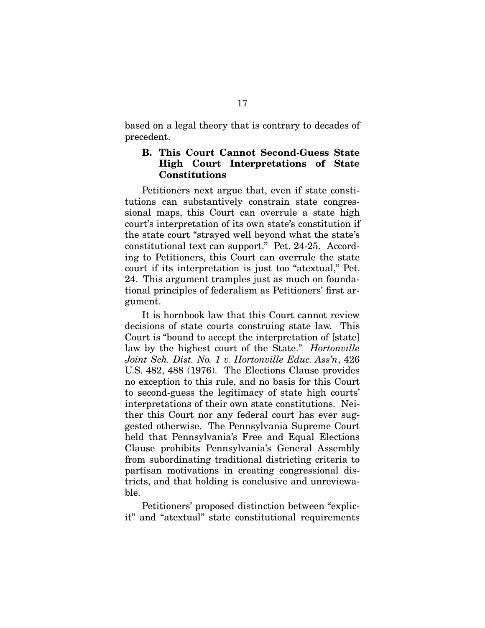based on a legal theory that is contrary to decades of precedent.

## B. This Court Cannot Second-Guess State High Court Interpretations of State Constitutions

Petitioners next argue that, even if state constitutions can substantively constrain state congressional maps, this Court can overrule a state high court's interpretation of its own state's constitution if the state court "strayed well beyond what the state's constitutional text can support." Pet. 24-25. According to Petitioners, this Court can overrule the state court if its interpretation is just too "atextual," Pet. 24. This argument tramples just as much on foundational principles of federalism as Petitioners' first argument.

It is hornbook law that this Court cannot review decisions of state courts construing state law. This Court is "bound to accept the interpretation of [state] law by the highest court of the State." *Hortonville Joint Sch. Dist. No. 1 v. Hortonville Educ. Ass'n*, 426 U.S. 482, 488 (1976). The Elections Clause provides no exception to this rule, and no basis for this Court to second-guess the legitimacy of state high courts' interpretations of their own state constitutions. Neither this Court nor any federal court has ever suggested otherwise. The Pennsylvania Supreme Court held that Pennsylvania's Free and Equal Elections Clause prohibits Pennsylvania's General Assembly from subordinating traditional districting criteria to partisan motivations in creating congressional districts, and that holding is conclusive and unreviewable.

Petitioners' proposed distinction between "explicit" and "atextual" state constitutional requirements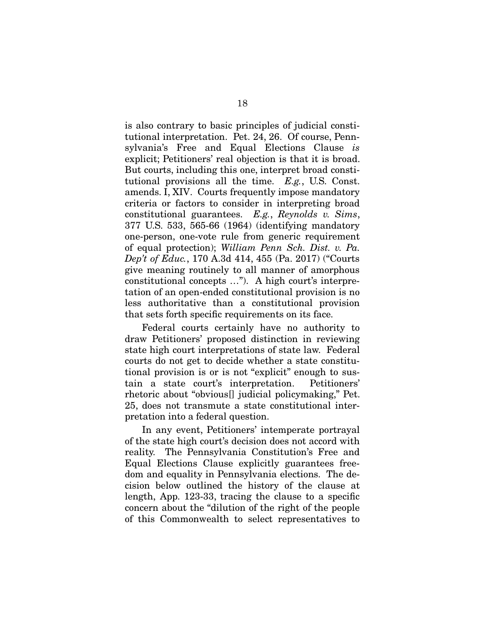is also contrary to basic principles of judicial constitutional interpretation. Pet. 24, 26. Of course, Pennsylvania's Free and Equal Elections Clause *is* explicit; Petitioners' real objection is that it is broad. But courts, including this one, interpret broad constitutional provisions all the time. *E.g.*, U.S. Const. amends. I, XIV. Courts frequently impose mandatory criteria or factors to consider in interpreting broad constitutional guarantees. *E.g.*, *Reynolds v. Sims*, 377 U.S. 533, 565-66 (1964) (identifying mandatory one-person, one-vote rule from generic requirement of equal protection); *William Penn Sch. Dist. v. Pa. Dep't of Educ.*, 170 A.3d 414, 455 (Pa. 2017) ("Courts give meaning routinely to all manner of amorphous constitutional concepts …"). A high court's interpretation of an open-ended constitutional provision is no less authoritative than a constitutional provision that sets forth specific requirements on its face.

Federal courts certainly have no authority to draw Petitioners' proposed distinction in reviewing state high court interpretations of state law. Federal courts do not get to decide whether a state constitutional provision is or is not "explicit" enough to sustain a state court's interpretation. Petitioners' rhetoric about "obvious[] judicial policymaking," Pet. 25, does not transmute a state constitutional interpretation into a federal question.

In any event, Petitioners' intemperate portrayal of the state high court's decision does not accord with reality. The Pennsylvania Constitution's Free and Equal Elections Clause explicitly guarantees freedom and equality in Pennsylvania elections. The decision below outlined the history of the clause at length, App.  $123-33$ , tracing the clause to a specific concern about the "dilution of the right of the people of this Commonwealth to select representatives to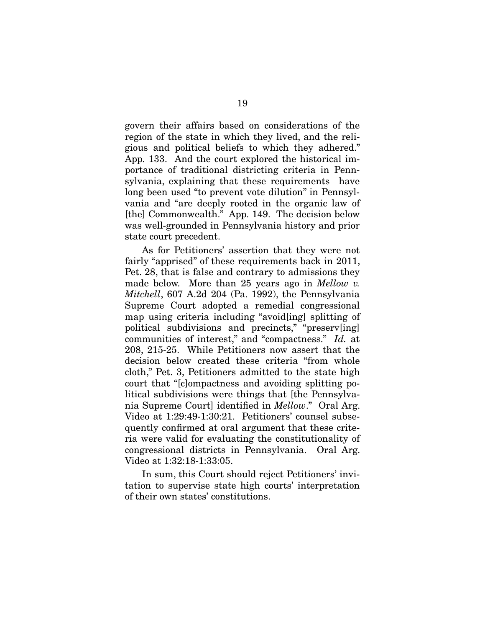govern their affairs based on considerations of the region of the state in which they lived, and the religious and political beliefs to which they adhered." App. 133. And the court explored the historical importance of traditional districting criteria in Pennsylvania, explaining that these requirements have long been used "to prevent vote dilution" in Pennsylvania and "are deeply rooted in the organic law of [the] Commonwealth." App. 149. The decision below was well-grounded in Pennsylvania history and prior state court precedent.

As for Petitioners' assertion that they were not fairly "apprised" of these requirements back in 2011, Pet. 28, that is false and contrary to admissions they made below. More than 25 years ago in *Mellow v. Mitchell*, 607 A.2d 204 (Pa. 1992), the Pennsylvania Supreme Court adopted a remedial congressional map using criteria including "avoid[ing] splitting of political subdivisions and precincts," "preserv[ing] communities of interest," and "compactness." *Id.* at 208, 215-25. While Petitioners now assert that the decision below created these criteria "from whole cloth," Pet. 3, Petitioners admitted to the state high court that "[c]ompactness and avoiding splitting political subdivisions were things that [the Pennsylvania Supreme Court] identified in *Mellow*." Oral Arg. Video at 1:29:49-1:30:21. Petitioners' counsel subsequently confirmed at oral argument that these criteria were valid for evaluating the constitutionality of congressional districts in Pennsylvania. Oral Arg. Video at 1:32:18-1:33:05.

In sum, this Court should reject Petitioners' invitation to supervise state high courts' interpretation of their own states' constitutions.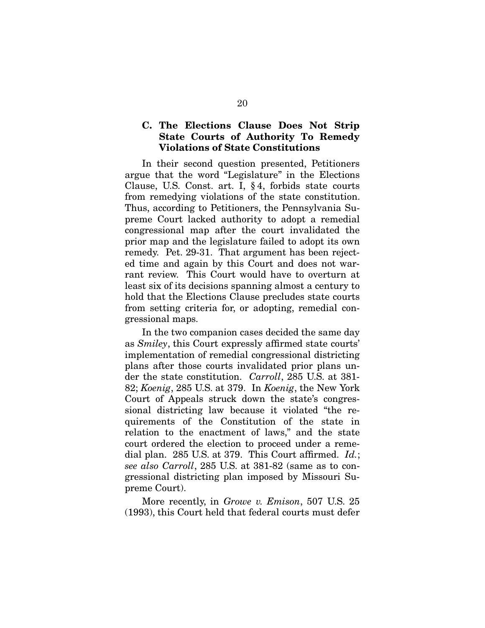## C. The Elections Clause Does Not Strip State Courts of Authority To Remedy Violations of State Constitutions

In their second question presented, Petitioners argue that the word "Legislature" in the Elections Clause, U.S. Const. art. I, § 4, forbids state courts from remedying violations of the state constitution. Thus, according to Petitioners, the Pennsylvania Supreme Court lacked authority to adopt a remedial congressional map after the court invalidated the prior map and the legislature failed to adopt its own remedy. Pet. 29-31. That argument has been rejected time and again by this Court and does not warrant review. This Court would have to overturn at least six of its decisions spanning almost a century to hold that the Elections Clause precludes state courts from setting criteria for, or adopting, remedial congressional maps.

In the two companion cases decided the same day as *Smiley*, this Court expressly affirmed state courts' implementation of remedial congressional districting plans after those courts invalidated prior plans under the state constitution. *Carroll*, 285 U.S. at 381- 82; *Koenig*, 285 U.S. at 379. In *Koenig*, the New York Court of Appeals struck down the state's congressional districting law because it violated "the requirements of the Constitution of the state in relation to the enactment of laws," and the state court ordered the election to proceed under a remedial plan.  $285$  U.S. at 379. This Court affirmed.  $Id$ .; *see also Carroll*, 285 U.S. at 381-82 (same as to congressional districting plan imposed by Missouri Supreme Court).

More recently, in *Growe v. Emison*, 507 U.S. 25 (1993), this Court held that federal courts must defer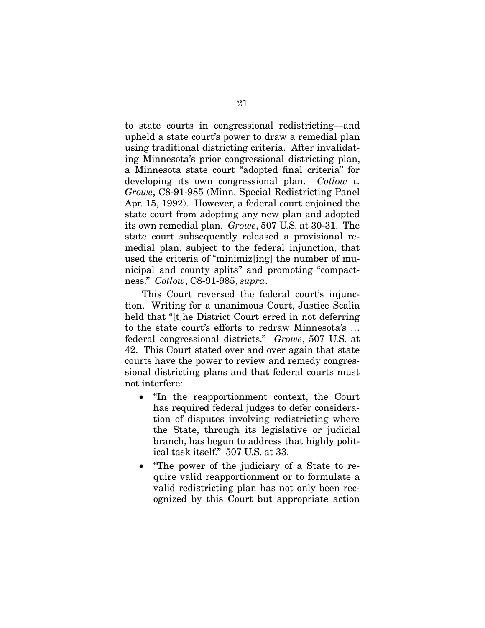to state courts in congressional redistricting—and upheld a state court's power to draw a remedial plan using traditional districting criteria. After invalidating Minnesota's prior congressional districting plan, a Minnesota state court "adopted final criteria" for developing its own congressional plan. *Cotlow v. Growe*, C8-91-985 (Minn. Special Redistricting Panel Apr. 15, 1992). However, a federal court enjoined the state court from adopting any new plan and adopted its own remedial plan. *Growe*, 507 U.S. at 30-31. The state court subsequently released a provisional remedial plan, subject to the federal injunction, that used the criteria of "minimiz[ing] the number of municipal and county splits" and promoting "compactness." *Cotlow*, C8-91-985, *supra*.

This Court reversed the federal court's injunction. Writing for a unanimous Court, Justice Scalia held that "[t]he District Court erred in not deferring to the state court's efforts to redraw Minnesota's … federal congressional districts." *Growe*, 507 U.S. at 42. This Court stated over and over again that state courts have the power to review and remedy congressional districting plans and that federal courts must not interfere:

- "In the reapportionment context, the Court has required federal judges to defer consideration of disputes involving redistricting where the State, through its legislative or judicial branch, has begun to address that highly political task itself." 507 U.S. at 33.
- "The power of the judiciary of a State to require valid reapportionment or to formulate a valid redistricting plan has not only been recognized by this Court but appropriate action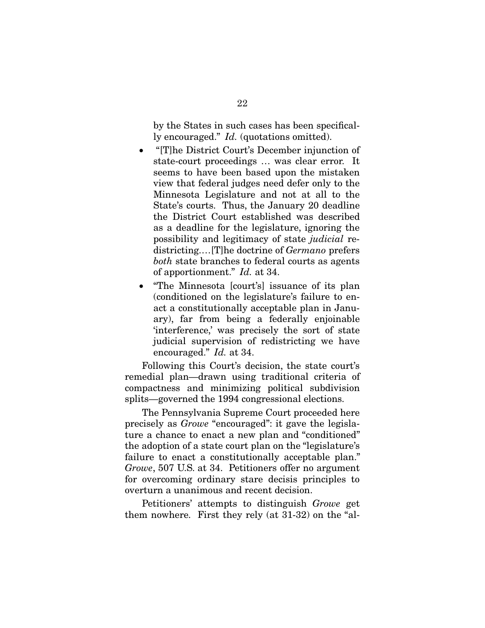by the States in such cases has been specifically encouraged." *Id.* (quotations omitted).

- "[T]he District Court's December injunction of state-court proceedings … was clear error. It seems to have been based upon the mistaken view that federal judges need defer only to the Minnesota Legislature and not at all to the State's courts. Thus, the January 20 deadline the District Court established was described as a deadline for the legislature, ignoring the possibility and legitimacy of state *judicial* redistricting.…[T]he doctrine of *Germano* prefers *both* state branches to federal courts as agents of apportionment." *Id.* at 34.
- "The Minnesota [court's] issuance of its plan (conditioned on the legislature's failure to enact a constitutionally acceptable plan in January), far from being a federally enjoinable 'interference,' was precisely the sort of state judicial supervision of redistricting we have encouraged." *Id.* at 34.

Following this Court's decision, the state court's remedial plan—drawn using traditional criteria of compactness and minimizing political subdivision splits—governed the 1994 congressional elections.

The Pennsylvania Supreme Court proceeded here precisely as *Growe* "encouraged": it gave the legislature a chance to enact a new plan and "conditioned" the adoption of a state court plan on the "legislature's failure to enact a constitutionally acceptable plan." *Growe*, 507 U.S. at 34. Petitioners offer no argument for overcoming ordinary stare decisis principles to overturn a unanimous and recent decision.

Petitioners' attempts to distinguish *Growe* get them nowhere. First they rely (at 31-32) on the "al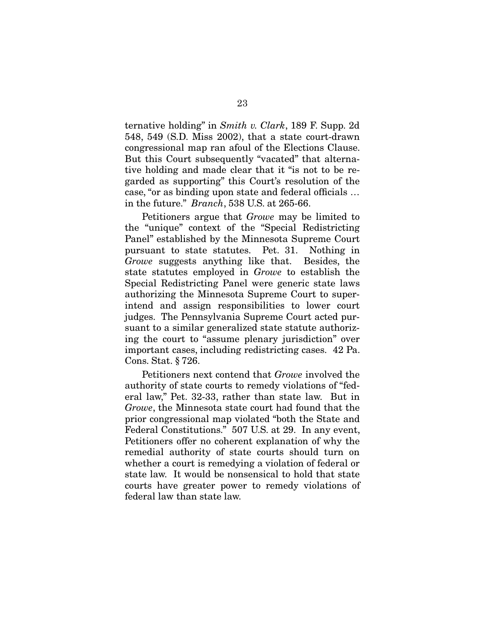ternative holding" in *Smith v. Clark*, 189 F. Supp. 2d 548, 549 (S.D. Miss 2002), that a state court-drawn congressional map ran afoul of the Elections Clause. But this Court subsequently "vacated" that alternative holding and made clear that it "is not to be regarded as supporting" this Court's resolution of the case, "or as binding upon state and federal officials ... in the future." *Branch*, 538 U.S. at 265-66.

Petitioners argue that *Growe* may be limited to the "unique" context of the "Special Redistricting Panel" established by the Minnesota Supreme Court pursuant to state statutes. Pet. 31. Nothing in *Growe* suggests anything like that. Besides, the state statutes employed in *Growe* to establish the Special Redistricting Panel were generic state laws authorizing the Minnesota Supreme Court to superintend and assign responsibilities to lower court judges. The Pennsylvania Supreme Court acted pursuant to a similar generalized state statute authorizing the court to "assume plenary jurisdiction" over important cases, including redistricting cases. 42 Pa. Cons. Stat. § 726.

Petitioners next contend that *Growe* involved the authority of state courts to remedy violations of "federal law," Pet. 32-33, rather than state law. But in *Growe*, the Minnesota state court had found that the prior congressional map violated "both the State and Federal Constitutions." 507 U.S. at 29. In any event, Petitioners offer no coherent explanation of why the remedial authority of state courts should turn on whether a court is remedying a violation of federal or state law. It would be nonsensical to hold that state courts have greater power to remedy violations of federal law than state law.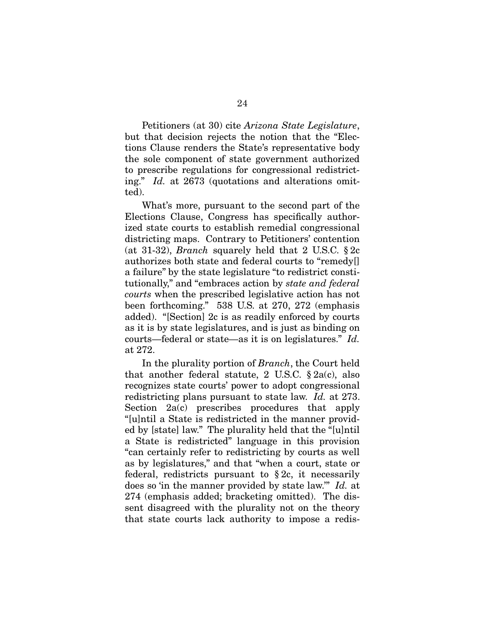Petitioners (at 30) cite *Arizona State Legislature*, but that decision rejects the notion that the "Elections Clause renders the State's representative body the sole component of state government authorized to prescribe regulations for congressional redistricting." *Id.* at 2673 (quotations and alterations omitted).

What's more, pursuant to the second part of the Elections Clause, Congress has specifically authorized state courts to establish remedial congressional districting maps. Contrary to Petitioners' contention (at 31-32), *Branch* squarely held that 2 U.S.C. § 2c authorizes both state and federal courts to "remedy[] a failure" by the state legislature "to redistrict constitutionally," and "embraces action by *state and federal courts* when the prescribed legislative action has not been forthcoming." 538 U.S. at 270, 272 (emphasis added). "[Section] 2c is as readily enforced by courts as it is by state legislatures, and is just as binding on courts—federal or state—as it is on legislatures." *Id.* at 272.

In the plurality portion of *Branch*, the Court held that another federal statute, 2 U.S.C.  $\S 2a(c)$ , also recognizes state courts' power to adopt congressional redistricting plans pursuant to state law. *Id.* at 273. Section 2a(c) prescribes procedures that apply "[u]ntil a State is redistricted in the manner provided by [state] law." The plurality held that the "[u]ntil a State is redistricted" language in this provision "can certainly refer to redistricting by courts as well as by legislatures," and that "when a court, state or federal, redistricts pursuant to § 2c, it necessarily does so 'in the manner provided by state law.'" *Id.* at 274 (emphasis added; bracketing omitted). The dissent disagreed with the plurality not on the theory that state courts lack authority to impose a redis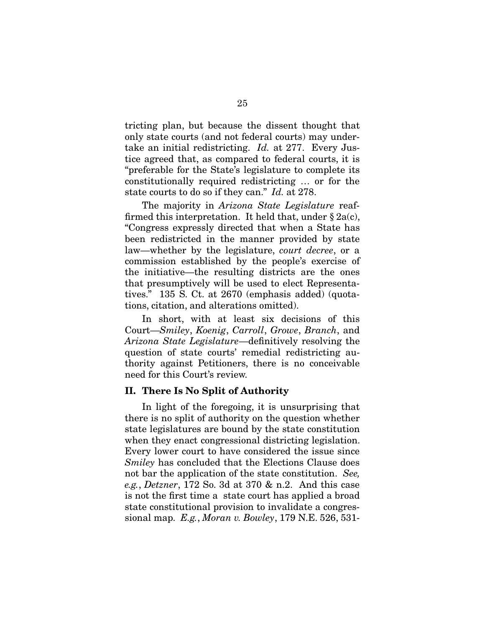tricting plan, but because the dissent thought that only state courts (and not federal courts) may undertake an initial redistricting. *Id.* at 277. Every Justice agreed that, as compared to federal courts, it is "preferable for the State's legislature to complete its constitutionally required redistricting … or for the state courts to do so if they can." *Id.* at 278.

The majority in *Arizona State Legislature* reaffirmed this interpretation. It held that, under  $\S 2a(c)$ , "Congress expressly directed that when a State has been redistricted in the manner provided by state law—whether by the legislature, *court decree*, or a commission established by the people's exercise of the initiative—the resulting districts are the ones that presumptively will be used to elect Representatives." 135 S. Ct. at 2670 (emphasis added) (quotations, citation, and alterations omitted).

In short, with at least six decisions of this Court—*Smiley*, *Koenig*, *Carroll*, *Growe*, *Branch*, and *Arizona State Legislature*—definitively resolving the question of state courts' remedial redistricting authority against Petitioners, there is no conceivable need for this Court's review.

#### II. There Is No Split of Authority

In light of the foregoing, it is unsurprising that there is no split of authority on the question whether state legislatures are bound by the state constitution when they enact congressional districting legislation. Every lower court to have considered the issue since *Smiley* has concluded that the Elections Clause does not bar the application of the state constitution. *See, e.g.*, *Detzner*, 172 So. 3d at 370 & n.2. And this case is not the first time a state court has applied a broad state constitutional provision to invalidate a congressional map. *E.g.*, *Moran v. Bowley*, 179 N.E. 526, 531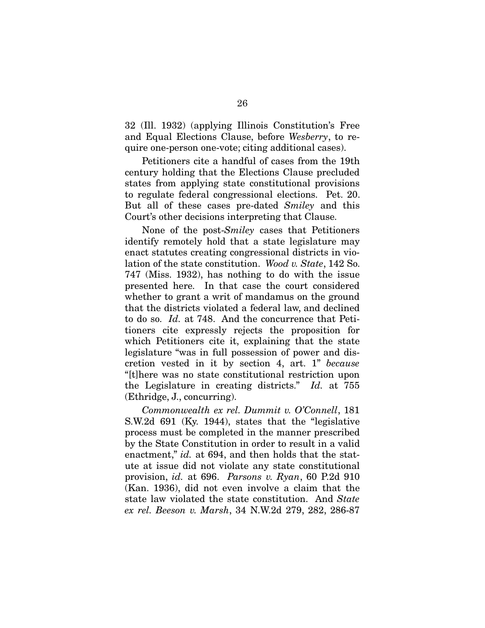32 (Ill. 1932) (applying Illinois Constitution's Free and Equal Elections Clause, before *Wesberry*, to require one-person one-vote; citing additional cases).

Petitioners cite a handful of cases from the 19th century holding that the Elections Clause precluded states from applying state constitutional provisions to regulate federal congressional elections. Pet. 20. But all of these cases pre-dated *Smiley* and this Court's other decisions interpreting that Clause.

None of the post-*Smiley* cases that Petitioners identify remotely hold that a state legislature may enact statutes creating congressional districts in violation of the state constitution. *Wood v. State*, 142 So. 747 (Miss. 1932), has nothing to do with the issue presented here. In that case the court considered whether to grant a writ of mandamus on the ground that the districts violated a federal law, and declined to do so. *Id.* at 748. And the concurrence that Petitioners cite expressly rejects the proposition for which Petitioners cite it, explaining that the state legislature "was in full possession of power and discretion vested in it by section 4, art. 1" *because* "[t]here was no state constitutional restriction upon the Legislature in creating districts." *Id.* at 755 (Ethridge, J., concurring).

*Commonwealth ex rel. Dummit v. O'Connell*, 181 S.W.2d 691 (Ky. 1944), states that the "legislative process must be completed in the manner prescribed by the State Constitution in order to result in a valid enactment," *id.* at 694, and then holds that the statute at issue did not violate any state constitutional provision, *id.* at 696. *Parsons v. Ryan*, 60 P.2d 910 (Kan. 1936), did not even involve a claim that the state law violated the state constitution. And *State ex rel. Beeson v. Marsh*, 34 N.W.2d 279, 282, 286-87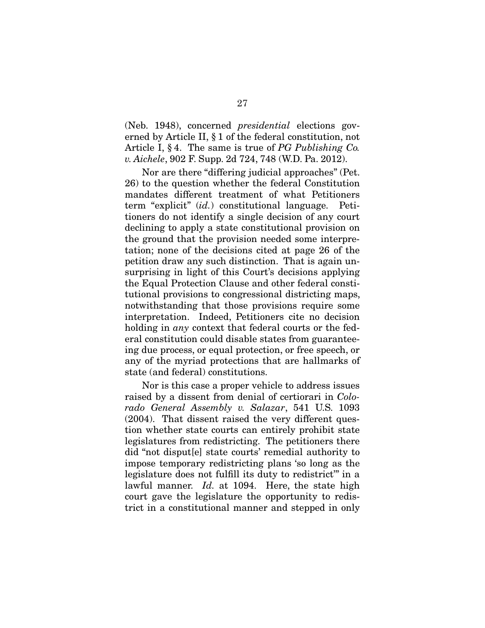(Neb. 1948), concerned *presidential* elections governed by Article II, § 1 of the federal constitution, not Article I, § 4. The same is true of *PG Publishing Co. v. Aichele*, 902 F. Supp. 2d 724, 748 (W.D. Pa. 2012).

Nor are there "differing judicial approaches" (Pet. 26) to the question whether the federal Constitution mandates different treatment of what Petitioners term "explicit" (*id.*) constitutional language. Petitioners do not identify a single decision of any court declining to apply a state constitutional provision on the ground that the provision needed some interpretation; none of the decisions cited at page 26 of the petition draw any such distinction. That is again unsurprising in light of this Court's decisions applying the Equal Protection Clause and other federal constitutional provisions to congressional districting maps, notwithstanding that those provisions require some interpretation. Indeed, Petitioners cite no decision holding in *any* context that federal courts or the federal constitution could disable states from guaranteeing due process, or equal protection, or free speech, or any of the myriad protections that are hallmarks of state (and federal) constitutions.

Nor is this case a proper vehicle to address issues raised by a dissent from denial of certiorari in *Colorado General Assembly v. Salazar*, 541 U.S. 1093 (2004). That dissent raised the very different question whether state courts can entirely prohibit state legislatures from redistricting. The petitioners there did "not disput[e] state courts' remedial authority to impose temporary redistricting plans 'so long as the legislature does not fulfill its duty to redistrict" in a lawful manner. *Id.* at 1094. Here, the state high court gave the legislature the opportunity to redistrict in a constitutional manner and stepped in only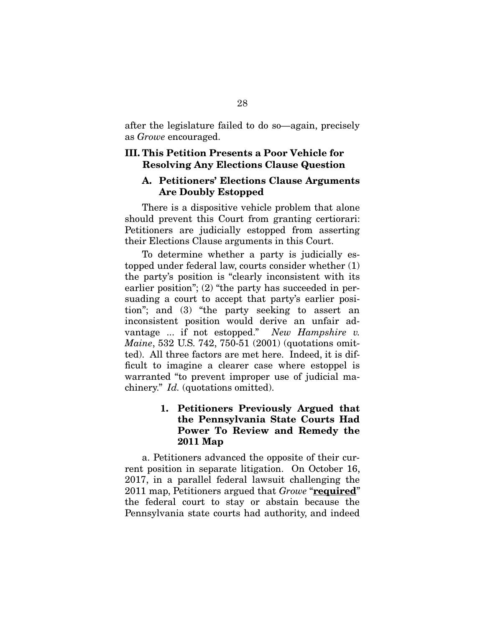after the legislature failed to do so—again, precisely as *Growe* encouraged.

## III. This Petition Presents a Poor Vehicle for Resolving Any Elections Clause Question

#### A. Petitioners' Elections Clause Arguments Are Doubly Estopped

There is a dispositive vehicle problem that alone should prevent this Court from granting certiorari: Petitioners are judicially estopped from asserting their Elections Clause arguments in this Court.

To determine whether a party is judicially estopped under federal law, courts consider whether (1) the party's position is "clearly inconsistent with its earlier position"; (2) "the party has succeeded in persuading a court to accept that party's earlier position"; and (3) "the party seeking to assert an inconsistent position would derive an unfair advantage ... if not estopped." *New Hampshire v. Maine*, 532 U.S. 742, 750-51 (2001) (quotations omitted). All three factors are met here. Indeed, it is difficult to imagine a clearer case where estoppel is warranted "to prevent improper use of judicial machinery." *Id.* (quotations omitted).

## 1. Petitioners Previously Argued that the Pennsylvania State Courts Had Power To Review and Remedy the 2011 Map

a. Petitioners advanced the opposite of their current position in separate litigation. On October 16, 2017, in a parallel federal lawsuit challenging the 2011 map, Petitioners argued that *Growe* "required" the federal court to stay or abstain because the Pennsylvania state courts had authority, and indeed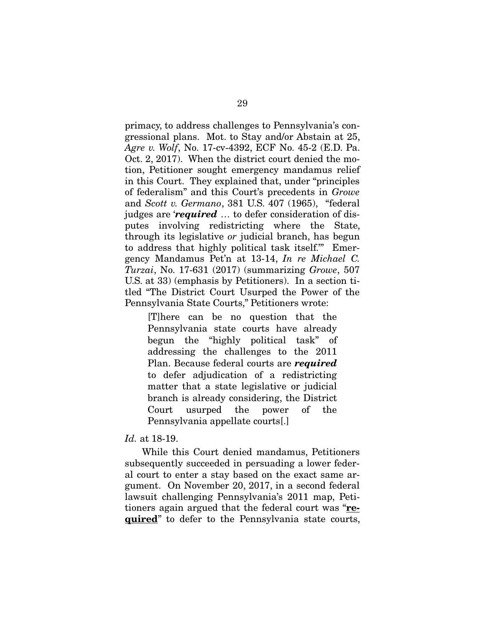primacy, to address challenges to Pennsylvania's congressional plans. Mot. to Stay and/or Abstain at 25, *Agre v. Wolf*, No. 17-cv-4392, ECF No. 45-2 (E.D. Pa. Oct. 2, 2017). When the district court denied the motion, Petitioner sought emergency mandamus relief in this Court. They explained that, under "principles of federalism" and this Court's precedents in *Growe* and *Scott v. Germano*, 381 U.S. 407 (1965), "federal judges are '*required* … to defer consideration of disputes involving redistricting where the State, through its legislative *or* judicial branch, has begun to address that highly political task itself.'" Emergency Mandamus Pet'n at 13-14, *In re Michael C. Turzai*, No. 17-631 (2017) (summarizing *Growe*, 507 U.S. at 33) (emphasis by Petitioners). In a section titled "The District Court Usurped the Power of the Pennsylvania State Courts," Petitioners wrote:

[T]here can be no question that the Pennsylvania state courts have already begun the "highly political task" of addressing the challenges to the 2011 Plan. Because federal courts are *required*  to defer adjudication of a redistricting matter that a state legislative or judicial branch is already considering, the District Court usurped the power of the Pennsylvania appellate courts[.]

#### *Id.* at 18-19.

While this Court denied mandamus, Petitioners subsequently succeeded in persuading a lower federal court to enter a stay based on the exact same argument. On November 20, 2017, in a second federal lawsuit challenging Pennsylvania's 2011 map, Petitioners again argued that the federal court was "required" to defer to the Pennsylvania state courts,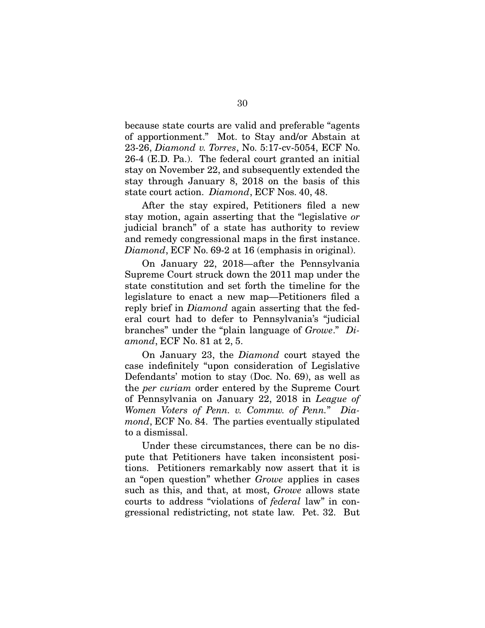because state courts are valid and preferable "agents of apportionment." Mot. to Stay and/or Abstain at 23-26, *Diamond v. Torres*, No. 5:17-cv-5054, ECF No. 26-4 (E.D. Pa.). The federal court granted an initial stay on November 22, and subsequently extended the stay through January 8, 2018 on the basis of this state court action. *Diamond*, ECF Nos. 40, 48.

After the stay expired, Petitioners filed a new stay motion, again asserting that the "legislative *or* judicial branch" of a state has authority to review and remedy congressional maps in the first instance. *Diamond*, ECF No. 69-2 at 16 (emphasis in original).

On January 22, 2018—after the Pennsylvania Supreme Court struck down the 2011 map under the state constitution and set forth the timeline for the legislature to enact a new map—Petitioners filed a reply brief in *Diamond* again asserting that the federal court had to defer to Pennsylvania's "judicial branches" under the "plain language of *Growe*." *Diamond*, ECF No. 81 at 2, 5.

On January 23, the *Diamond* court stayed the case indefinitely "upon consideration of Legislative Defendants' motion to stay (Doc. No. 69), as well as the *per curiam* order entered by the Supreme Court of Pennsylvania on January 22, 2018 in *League of Women Voters of Penn. v. Commw. of Penn.*" *Diamond*, ECF No. 84. The parties eventually stipulated to a dismissal.

Under these circumstances, there can be no dispute that Petitioners have taken inconsistent positions. Petitioners remarkably now assert that it is an "open question" whether *Growe* applies in cases such as this, and that, at most, *Growe* allows state courts to address "violations of *federal* law" in congressional redistricting, not state law. Pet. 32. But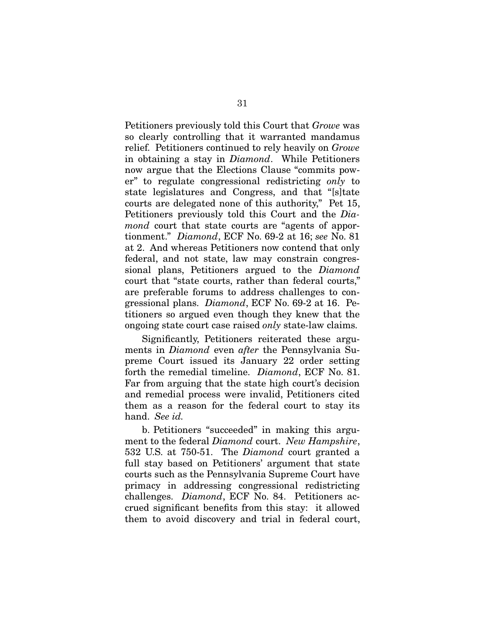Petitioners previously told this Court that *Growe* was so clearly controlling that it warranted mandamus relief. Petitioners continued to rely heavily on *Growe* in obtaining a stay in *Diamond*. While Petitioners now argue that the Elections Clause "commits power" to regulate congressional redistricting *only* to state legislatures and Congress, and that "[s]tate courts are delegated none of this authority," Pet 15, Petitioners previously told this Court and the *Diamond* court that state courts are "agents of apportionment." *Diamond*, ECF No. 69-2 at 16; *see* No. 81 at 2. And whereas Petitioners now contend that only federal, and not state, law may constrain congressional plans, Petitioners argued to the *Diamond* court that "state courts, rather than federal courts," are preferable forums to address challenges to congressional plans. *Diamond*, ECF No. 69-2 at 16. Petitioners so argued even though they knew that the ongoing state court case raised *only* state-law claims.

Significantly, Petitioners reiterated these arguments in *Diamond* even *after* the Pennsylvania Supreme Court issued its January 22 order setting forth the remedial timeline. *Diamond*, ECF No. 81. Far from arguing that the state high court's decision and remedial process were invalid, Petitioners cited them as a reason for the federal court to stay its hand. *See id.*

b. Petitioners "succeeded" in making this argument to the federal *Diamond* court. *New Hampshire*, 532 U.S. at 750-51. The *Diamond* court granted a full stay based on Petitioners' argument that state courts such as the Pennsylvania Supreme Court have primacy in addressing congressional redistricting challenges. *Diamond*, ECF No. 84. Petitioners accrued significant benefits from this stay: it allowed them to avoid discovery and trial in federal court,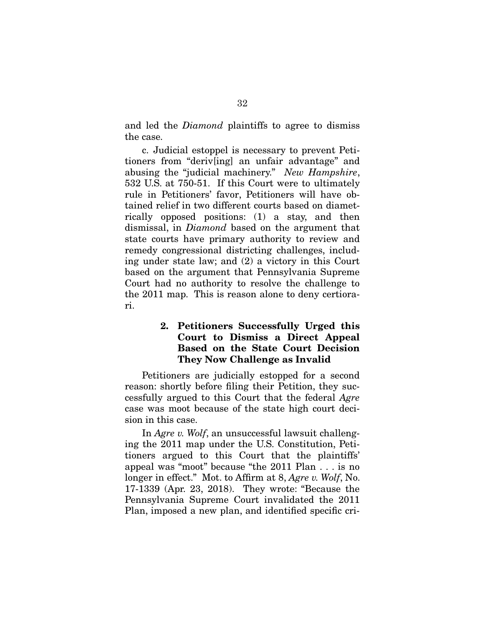and led the *Diamond* plaintiffs to agree to dismiss the case.

c. Judicial estoppel is necessary to prevent Petitioners from "deriv[ing] an unfair advantage" and abusing the "judicial machinery." *New Hampshire*, 532 U.S. at 750-51. If this Court were to ultimately rule in Petitioners' favor, Petitioners will have obtained relief in two different courts based on diametrically opposed positions: (1) a stay, and then dismissal, in *Diamond* based on the argument that state courts have primary authority to review and remedy congressional districting challenges, including under state law; and (2) a victory in this Court based on the argument that Pennsylvania Supreme Court had no authority to resolve the challenge to the 2011 map. This is reason alone to deny certiorari.

## 2. Petitioners Successfully Urged this Court to Dismiss a Direct Appeal Based on the State Court Decision They Now Challenge as Invalid

Petitioners are judicially estopped for a second reason: shortly before filing their Petition, they successfully argued to this Court that the federal *Agre*  case was moot because of the state high court decision in this case.

In *Agre v. Wolf*, an unsuccessful lawsuit challenging the 2011 map under the U.S. Constitution, Petitioners argued to this Court that the plaintiffs' appeal was "moot" because "the 2011 Plan . . . is no longer in effect." Mot. to Affirm at 8, Agre v. Wolf, No. 17-1339 (Apr. 23, 2018). They wrote: "Because the Pennsylvania Supreme Court invalidated the 2011 Plan, imposed a new plan, and identified specific cri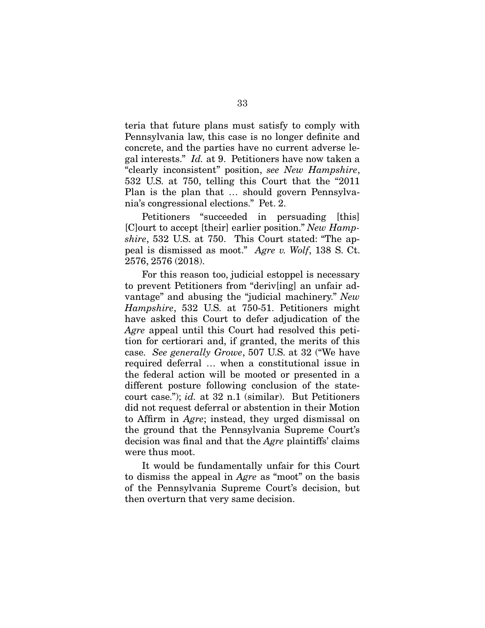teria that future plans must satisfy to comply with Pennsylvania law, this case is no longer definite and concrete, and the parties have no current adverse legal interests." *Id.* at 9. Petitioners have now taken a "clearly inconsistent" position, *see New Hampshire*, 532 U.S. at 750, telling this Court that the "2011 Plan is the plan that … should govern Pennsylvania's congressional elections." Pet. 2.

Petitioners "succeeded in persuading [this] [C]ourt to accept [their] earlier position." *New Hampshire*, 532 U.S. at 750. This Court stated: "The appeal is dismissed as moot." *Agre v. Wolf*, 138 S. Ct. 2576, 2576 (2018).

For this reason too, judicial estoppel is necessary to prevent Petitioners from "deriv[ing] an unfair advantage" and abusing the "judicial machinery." *New Hampshire*, 532 U.S. at 750-51. Petitioners might have asked this Court to defer adjudication of the *Agre* appeal until this Court had resolved this petition for certiorari and, if granted, the merits of this case. *See generally Growe*, 507 U.S. at 32 ("We have required deferral … when a constitutional issue in the federal action will be mooted or presented in a different posture following conclusion of the statecourt case."); *id.* at 32 n.1 (similar). But Petitioners did not request deferral or abstention in their Motion to Affirm in Agre; instead, they urged dismissal on the ground that the Pennsylvania Supreme Court's decision was final and that the *Agre* plaintiffs' claims were thus moot.

It would be fundamentally unfair for this Court to dismiss the appeal in *Agre* as "moot" on the basis of the Pennsylvania Supreme Court's decision, but then overturn that very same decision.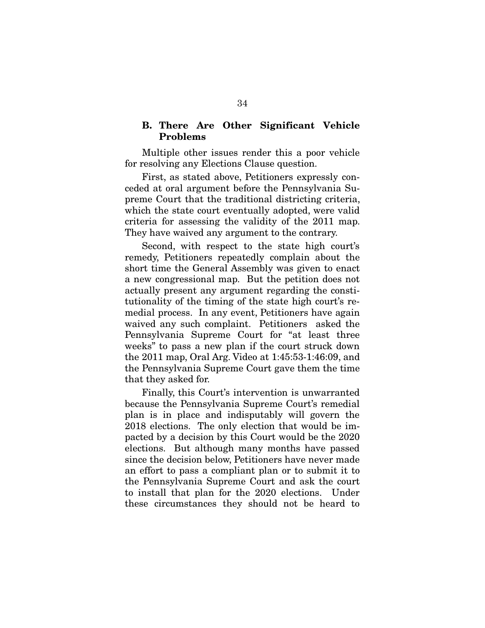#### B. There Are Other Significant Vehicle Problems

Multiple other issues render this a poor vehicle for resolving any Elections Clause question.

First, as stated above, Petitioners expressly conceded at oral argument before the Pennsylvania Supreme Court that the traditional districting criteria, which the state court eventually adopted, were valid criteria for assessing the validity of the 2011 map. They have waived any argument to the contrary.

Second, with respect to the state high court's remedy, Petitioners repeatedly complain about the short time the General Assembly was given to enact a new congressional map. But the petition does not actually present any argument regarding the constitutionality of the timing of the state high court's remedial process. In any event, Petitioners have again waived any such complaint. Petitioners asked the Pennsylvania Supreme Court for "at least three weeks" to pass a new plan if the court struck down the 2011 map, Oral Arg. Video at 1:45:53-1:46:09, and the Pennsylvania Supreme Court gave them the time that they asked for.

Finally, this Court's intervention is unwarranted because the Pennsylvania Supreme Court's remedial plan is in place and indisputably will govern the 2018 elections. The only election that would be impacted by a decision by this Court would be the 2020 elections. But although many months have passed since the decision below, Petitioners have never made an effort to pass a compliant plan or to submit it to the Pennsylvania Supreme Court and ask the court to install that plan for the 2020 elections. Under these circumstances they should not be heard to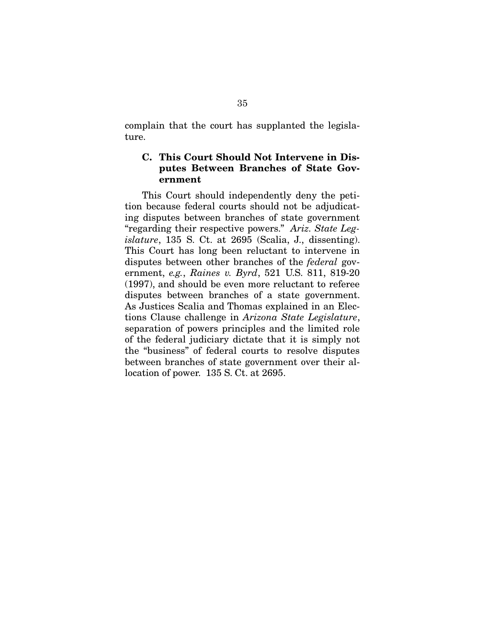complain that the court has supplanted the legislature.

### C. This Court Should Not Intervene in Disputes Between Branches of State Government

This Court should independently deny the petition because federal courts should not be adjudicating disputes between branches of state government "regarding their respective powers." *Ariz. State Legislature*, 135 S. Ct. at 2695 (Scalia, J., dissenting). This Court has long been reluctant to intervene in disputes between other branches of the *federal* government, *e.g.*, *Raines v. Byrd*, 521 U.S. 811, 819-20 (1997), and should be even more reluctant to referee disputes between branches of a state government. As Justices Scalia and Thomas explained in an Elections Clause challenge in *Arizona State Legislature*, separation of powers principles and the limited role of the federal judiciary dictate that it is simply not the "business" of federal courts to resolve disputes between branches of state government over their allocation of power. 135 S. Ct. at 2695.